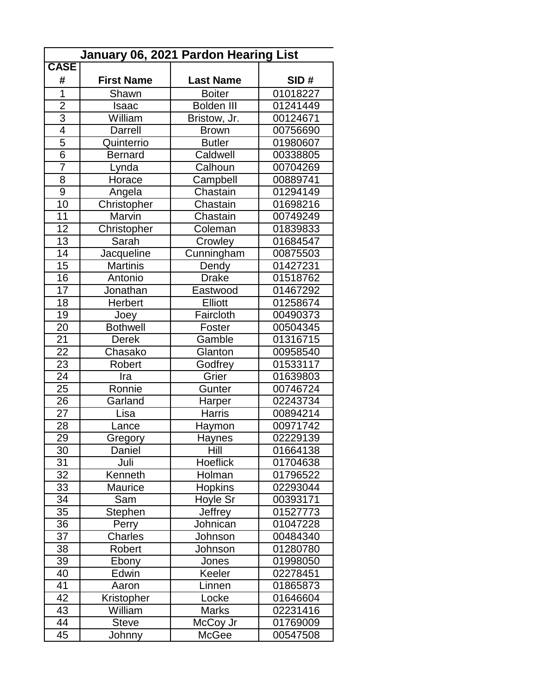| January 06, 2021 Pardon Hearing List |                   |                   |          |  |
|--------------------------------------|-------------------|-------------------|----------|--|
| <b>CASE</b>                          |                   |                   |          |  |
| #                                    | <b>First Name</b> | <b>Last Name</b>  | SID#     |  |
| $\overline{1}$                       | Shawn             | <b>Boiter</b>     | 01018227 |  |
| $\overline{2}$                       | Isaac             | <b>Bolden III</b> | 01241449 |  |
| $\overline{3}$                       | William           | Bristow, Jr.      | 00124671 |  |
| $\overline{4}$                       | Darrell           | <b>Brown</b>      | 00756690 |  |
| $\overline{5}$                       | Quinterrio        | <b>Butler</b>     | 01980607 |  |
| $\overline{6}$                       | <b>Bernard</b>    | Caldwell          | 00338805 |  |
| $\overline{7}$                       | Lynda             | Calhoun           | 00704269 |  |
| 8                                    | Horace            | Campbell          | 00889741 |  |
| 9                                    | Angela            | Chastain          | 01294149 |  |
| 10                                   | Christopher       | Chastain          | 01698216 |  |
| 11                                   | Marvin            | Chastain          | 00749249 |  |
| 12                                   | Christopher       | Coleman           | 01839833 |  |
| 13                                   | Sarah             | Crowley           | 01684547 |  |
| 14                                   | Jacqueline        | Cunningham        | 00875503 |  |
| 15                                   | <b>Martinis</b>   | Dendy             | 01427231 |  |
| 16                                   | Antonio           | <b>Drake</b>      | 01518762 |  |
| 17                                   | Jonathan          | Eastwood          | 01467292 |  |
| 18                                   | Herbert           | <b>Elliott</b>    | 01258674 |  |
| 19                                   | Joey              | Faircloth         | 00490373 |  |
| 20                                   | <b>Bothwell</b>   | Foster            | 00504345 |  |
| 21                                   | <b>Derek</b>      | Gamble            | 01316715 |  |
| $\overline{22}$                      | Chasako           | Glanton           | 00958540 |  |
| 23                                   | Robert            | Godfrey           | 01533117 |  |
| 24                                   | Ira               | Grier             | 01639803 |  |
| $\overline{25}$                      | Ronnie            | Gunter            | 00746724 |  |
| 26                                   | Garland           | Harper            | 02243734 |  |
| 27                                   | Lisa              | <b>Harris</b>     | 00894214 |  |
| $\overline{28}$                      | Lance             | Haymon            | 00971742 |  |
| 29                                   | Gregory           | Haynes            | 02229139 |  |
| 30                                   | Daniel            | Hill              | 01664138 |  |
| $\overline{31}$                      | Juli              | Hoeflick          | 01704638 |  |
| 32                                   | Kenneth           | Holman            | 01796522 |  |
| 33                                   | <b>Maurice</b>    | <b>Hopkins</b>    | 02293044 |  |
| $\overline{34}$                      | Sam               | Hoyle Sr          | 00393171 |  |
| 35                                   | Stephen           | Jeffrey           | 01527773 |  |
| 36                                   | Perry             | Johnican          | 01047228 |  |
| 37                                   | <b>Charles</b>    | Johnson           | 00484340 |  |
| 38                                   | Robert            | Johnson           | 01280780 |  |
| 39                                   | Ebony             | Jones             | 01998050 |  |
| 40                                   | Edwin             | Keeler            | 02278451 |  |
| 41                                   | Aaron             | Linnen            | 01865873 |  |
| 42                                   | Kristopher        | Locke             | 01646604 |  |
| 43                                   | William           | <b>Marks</b>      | 02231416 |  |
| 44                                   | <b>Steve</b>      | McCoy Jr          | 01769009 |  |
| 45                                   | Johnny            | McGee             | 00547508 |  |